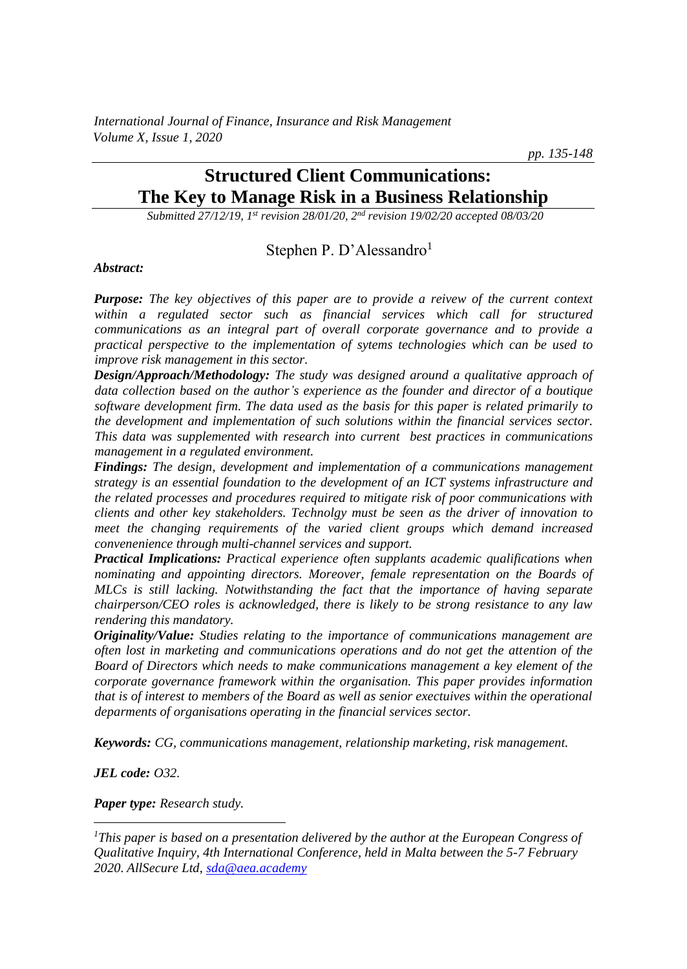*International Journal of Finance, Insurance and Risk Management Volume X, Issue 1, 2020*

*pp. 135-148*

# **Structured Client Communications: The Key to Manage Risk in a Business Relationship**

*Submitted 27/12/19, 1st revision 28/01/20, 2nd revision 19/02/20 accepted 08/03/20*

### Stephen P. D'Alessandro<sup>1</sup>

*Abstract:*

*Purpose: The key objectives of this paper are to provide a reivew of the current context within a regulated sector such as financial services which call for structured communications as an integral part of overall corporate governance and to provide a practical perspective to the implementation of sytems technologies which can be used to improve risk management in this sector.*

*Design/Approach/Methodology: The study was designed around a qualitative approach of data collection based on the author's experience as the founder and director of a boutique software development firm. The data used as the basis for this paper is related primarily to the development and implementation of such solutions within the financial services sector. This data was supplemented with research into current best practices in communications management in a regulated environment.*

*Findings: The design, development and implementation of a communications management strategy is an essential foundation to the development of an ICT systems infrastructure and the related processes and procedures required to mitigate risk of poor communications with clients and other key stakeholders. Technolgy must be seen as the driver of innovation to meet the changing requirements of the varied client groups which demand increased convenenience through multi-channel services and support.* 

*Practical Implications: Practical experience often supplants academic qualifications when nominating and appointing directors. Moreover, female representation on the Boards of MLCs is still lacking. Notwithstanding the fact that the importance of having separate chairperson/CEO roles is acknowledged, there is likely to be strong resistance to any law rendering this mandatory.*

*Originality/Value: Studies relating to the importance of communications management are often lost in marketing and communications operations and do not get the attention of the Board of Directors which needs to make communications management a key element of the corporate governance framework within the organisation. This paper provides information that is of interest to members of the Board as well as senior exectuives within the operational deparments of organisations operating in the financial services sector.* 

*Keywords: CG, communications management, relationship marketing, risk management.*

*JEL code: O32.*

*Paper type: Research study.*

*<sup>1</sup>This paper is based on a presentation delivered by the author at the European Congress of Qualitative Inquiry, 4th International Conference, held in Malta between the 5-7 February 2020. AllSecure Ltd, [sda@aea.academy](mailto:sda@aea.academy)*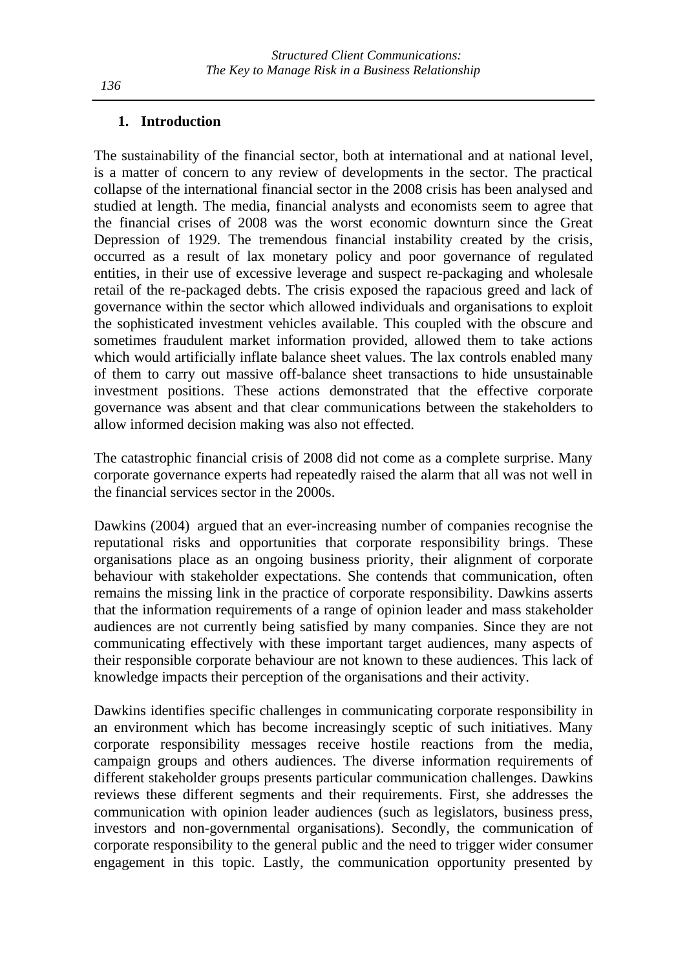#### **1. Introduction**

The sustainability of the financial sector, both at international and at national level, is a matter of concern to any review of developments in the sector. The practical collapse of the international financial sector in the 2008 crisis has been analysed and studied at length. The media, financial analysts and economists seem to agree that the financial crises of 2008 was the worst economic downturn since the Great Depression of 1929. The tremendous financial instability created by the crisis, occurred as a result of lax monetary policy and poor governance of regulated entities, in their use of excessive leverage and suspect re-packaging and wholesale retail of the re-packaged debts. The crisis exposed the rapacious greed and lack of governance within the sector which allowed individuals and organisations to exploit the sophisticated investment vehicles available. This coupled with the obscure and sometimes fraudulent market information provided, allowed them to take actions which would artificially inflate balance sheet values. The lax controls enabled many of them to carry out massive off-balance sheet transactions to hide unsustainable investment positions. These actions demonstrated that the effective corporate governance was absent and that clear communications between the stakeholders to allow informed decision making was also not effected.

The catastrophic financial crisis of 2008 did not come as a complete surprise. Many corporate governance experts had repeatedly raised the alarm that all was not well in the financial services sector in the 2000s.

Dawkins (2004) argued that an ever-increasing number of companies recognise the reputational risks and opportunities that corporate responsibility brings. These organisations place as an ongoing business priority, their alignment of corporate behaviour with stakeholder expectations. She contends that communication, often remains the missing link in the practice of corporate responsibility. Dawkins asserts that the information requirements of a range of opinion leader and mass stakeholder audiences are not currently being satisfied by many companies. Since they are not communicating effectively with these important target audiences, many aspects of their responsible corporate behaviour are not known to these audiences. This lack of knowledge impacts their perception of the organisations and their activity.

Dawkins identifies specific challenges in communicating corporate responsibility in an environment which has become increasingly sceptic of such initiatives. Many corporate responsibility messages receive hostile reactions from the media, campaign groups and others audiences. The diverse information requirements of different stakeholder groups presents particular communication challenges. Dawkins reviews these different segments and their requirements. First, she addresses the communication with opinion leader audiences (such as legislators, business press, investors and non-governmental organisations). Secondly, the communication of corporate responsibility to the general public and the need to trigger wider consumer engagement in this topic. Lastly, the communication opportunity presented by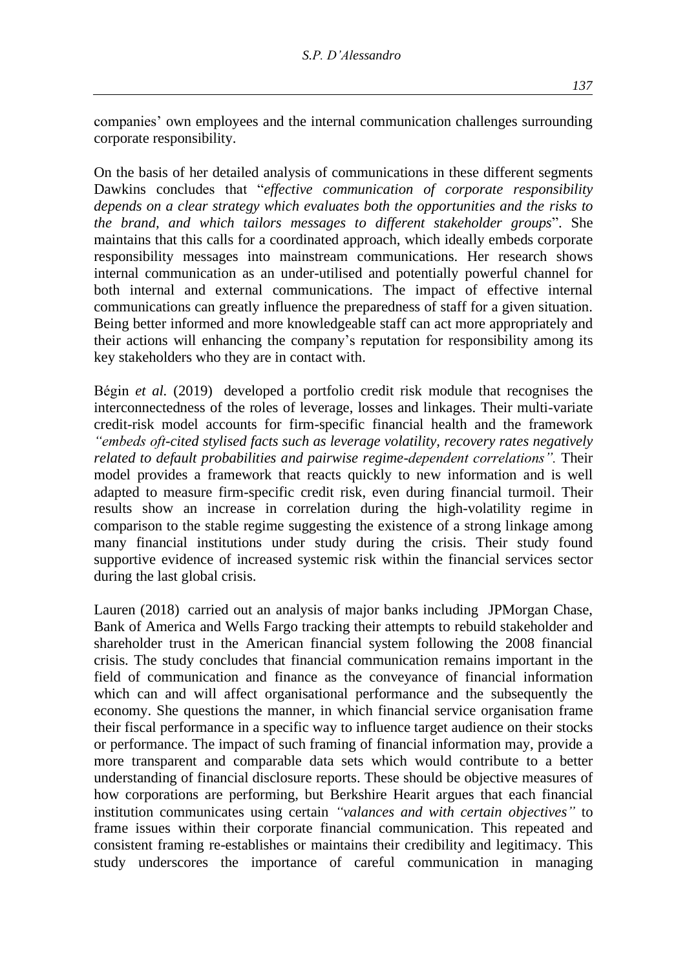companies' own employees and the internal communication challenges surrounding corporate responsibility.

On the basis of her detailed analysis of communications in these different segments Dawkins concludes that "*effective communication of corporate responsibility depends on a clear strategy which evaluates both the opportunities and the risks to the brand, and which tailors messages to different stakeholder groups*". She maintains that this calls for a coordinated approach, which ideally embeds corporate responsibility messages into mainstream communications. Her research shows internal communication as an under-utilised and potentially powerful channel for both internal and external communications. The impact of effective internal communications can greatly influence the preparedness of staff for a given situation. Being better informed and more knowledgeable staff can act more appropriately and their actions will enhancing the company's reputation for responsibility among its key stakeholders who they are in contact with.

Bégin *et al.* (2019) developed a portfolio credit risk module that recognises the interconnectedness of the roles of leverage, losses and linkages. Their multi-variate credit-risk model accounts for firm-specific financial health and the framework *"embeds oft-cited stylised facts such as leverage volatility, recovery rates negatively related to default probabilities and pairwise regime-dependent correlations".* Their model provides a framework that reacts quickly to new information and is well adapted to measure firm-specific credit risk, even during financial turmoil. Their results show an increase in correlation during the high-volatility regime in comparison to the stable regime suggesting the existence of a strong linkage among many financial institutions under study during the crisis. Their study found supportive evidence of increased systemic risk within the financial services sector during the last global crisis.

Lauren (2018) carried out an analysis of major banks including JPMorgan Chase, Bank of America and Wells Fargo tracking their attempts to rebuild stakeholder and shareholder trust in the American financial system following the 2008 financial crisis. The study concludes that financial communication remains important in the field of communication and finance as the conveyance of financial information which can and will affect organisational performance and the subsequently the economy. She questions the manner, in which financial service organisation frame their fiscal performance in a specific way to influence target audience on their stocks or performance. The impact of such framing of financial information may, provide a more transparent and comparable data sets which would contribute to a better understanding of financial disclosure reports. These should be objective measures of how corporations are performing, but Berkshire Hearit argues that each financial institution communicates using certain *"valances and with certain objectives"* to frame issues within their corporate financial communication. This repeated and consistent framing re-establishes or maintains their credibility and legitimacy. This study underscores the importance of careful communication in managing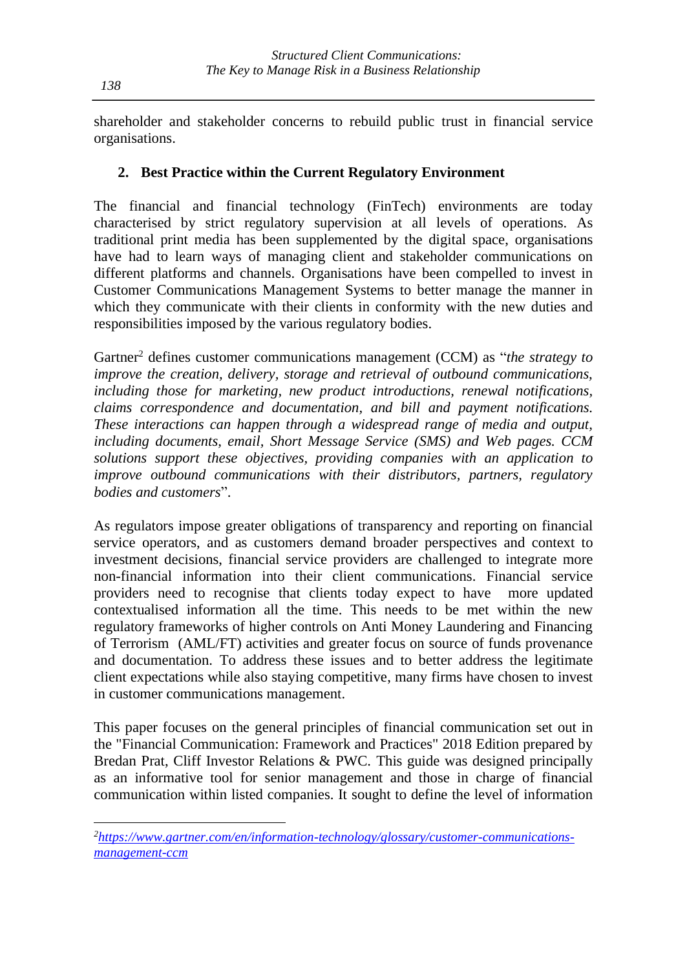shareholder and stakeholder concerns to rebuild public trust in financial service organisations.

### **2. Best Practice within the Current Regulatory Environment**

The financial and financial technology (FinTech) environments are today characterised by strict regulatory supervision at all levels of operations. As traditional print media has been supplemented by the digital space, organisations have had to learn ways of managing client and stakeholder communications on different platforms and channels. Organisations have been compelled to invest in Customer Communications Management Systems to better manage the manner in which they communicate with their clients in conformity with the new duties and responsibilities imposed by the various regulatory bodies.

Gartner<sup>2</sup> defines customer communications management (CCM) as "*the strategy to improve the creation, delivery, storage and retrieval of outbound communications, including those for marketing, new product introductions, renewal notifications, claims correspondence and documentation, and bill and payment notifications. These interactions can happen through a widespread range of media and output, including documents, email, Short Message Service (SMS) and Web pages. CCM solutions support these objectives, providing companies with an application to improve outbound communications with their distributors, partners, regulatory bodies and customers*".

As regulators impose greater obligations of transparency and reporting on financial service operators, and as customers demand broader perspectives and context to investment decisions, financial service providers are challenged to integrate more non-financial information into their client communications. Financial service providers need to recognise that clients today expect to have more updated contextualised information all the time. This needs to be met within the new regulatory frameworks of higher controls on Anti Money Laundering and Financing of Terrorism (AML/FT) activities and greater focus on source of funds provenance and documentation. To address these issues and to better address the legitimate client expectations while also staying competitive, many firms have chosen to invest in customer communications management.

This paper focuses on the general principles of financial communication set out in the "Financial Communication: Framework and Practices" 2018 Edition prepared by Bredan Prat, Cliff Investor Relations & PWC. This guide was designed principally as an informative tool for senior management and those in charge of financial communication within listed companies. It sought to define the level of information

*<sup>2</sup>[https://www.gartner.com/en/information-technology/glossary/customer-communications](https://www.gartner.com/en/information-technology/glossary/customer-communications-management-ccm)[management-ccm](https://www.gartner.com/en/information-technology/glossary/customer-communications-management-ccm)*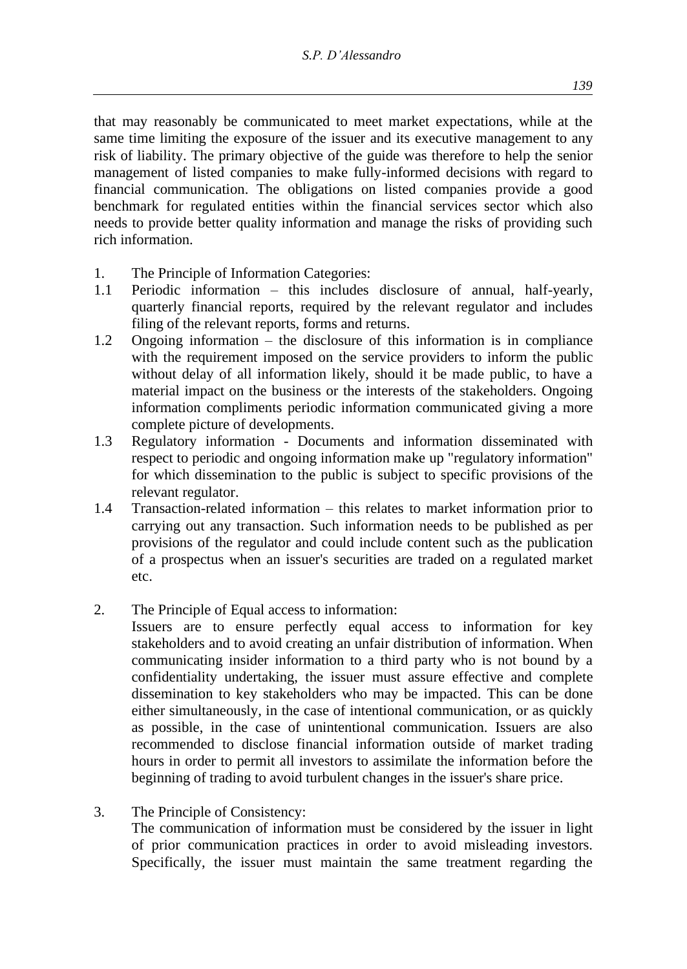that may reasonably be communicated to meet market expectations, while at the same time limiting the exposure of the issuer and its executive management to any risk of liability. The primary objective of the guide was therefore to help the senior management of listed companies to make fully-informed decisions with regard to financial communication. The obligations on listed companies provide a good benchmark for regulated entities within the financial services sector which also needs to provide better quality information and manage the risks of providing such rich information.

- 1. The Principle of Information Categories:
- 1.1 Periodic information this includes disclosure of annual, half-yearly, quarterly financial reports, required by the relevant regulator and includes filing of the relevant reports, forms and returns.
- 1.2 Ongoing information the disclosure of this information is in compliance with the requirement imposed on the service providers to inform the public without delay of all information likely, should it be made public, to have a material impact on the business or the interests of the stakeholders. Ongoing information compliments periodic information communicated giving a more complete picture of developments.
- 1.3 Regulatory information Documents and information disseminated with respect to periodic and ongoing information make up "regulatory information" for which dissemination to the public is subject to specific provisions of the relevant regulator.
- 1.4 Transaction-related information this relates to market information prior to carrying out any transaction. Such information needs to be published as per provisions of the regulator and could include content such as the publication of a prospectus when an issuer's securities are traded on a regulated market etc.
- 2. The Principle of Equal access to information:

Issuers are to ensure perfectly equal access to information for key stakeholders and to avoid creating an unfair distribution of information. When communicating insider information to a third party who is not bound by a confidentiality undertaking, the issuer must assure effective and complete dissemination to key stakeholders who may be impacted. This can be done either simultaneously, in the case of intentional communication, or as quickly as possible, in the case of unintentional communication. Issuers are also recommended to disclose financial information outside of market trading hours in order to permit all investors to assimilate the information before the beginning of trading to avoid turbulent changes in the issuer's share price.

Specifically, the issuer must maintain the same treatment regarding the

3. The Principle of Consistency: The communication of information must be considered by the issuer in light of prior communication practices in order to avoid misleading investors.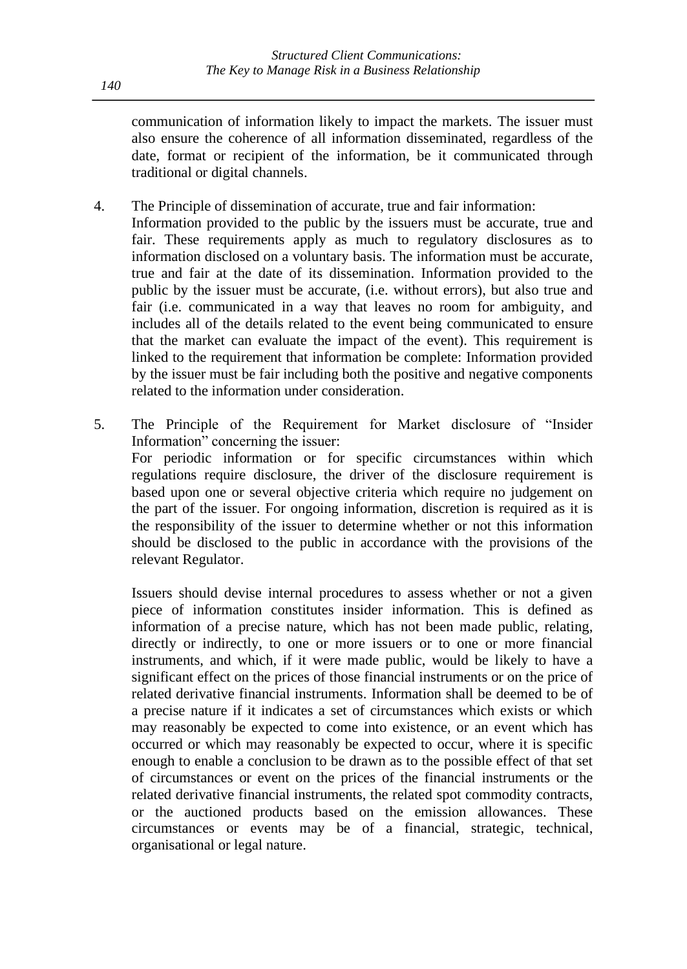communication of information likely to impact the markets. The issuer must also ensure the coherence of all information disseminated, regardless of the date, format or recipient of the information, be it communicated through traditional or digital channels.

- 4. The Principle of dissemination of accurate, true and fair information:
	- Information provided to the public by the issuers must be accurate, true and fair. These requirements apply as much to regulatory disclosures as to information disclosed on a voluntary basis. The information must be accurate, true and fair at the date of its dissemination. Information provided to the public by the issuer must be accurate, (i.e. without errors), but also true and fair (i.e. communicated in a way that leaves no room for ambiguity, and includes all of the details related to the event being communicated to ensure that the market can evaluate the impact of the event). This requirement is linked to the requirement that information be complete: Information provided by the issuer must be fair including both the positive and negative components related to the information under consideration.
- 5. The Principle of the Requirement for Market disclosure of "Insider Information" concerning the issuer: For periodic information or for specific circumstances within which regulations require disclosure, the driver of the disclosure requirement is based upon one or several objective criteria which require no judgement on the part of the issuer. For ongoing information, discretion is required as it is the responsibility of the issuer to determine whether or not this information should be disclosed to the public in accordance with the provisions of the relevant Regulator.

Issuers should devise internal procedures to assess whether or not a given piece of information constitutes insider information. This is defined as information of a precise nature, which has not been made public, relating, directly or indirectly, to one or more issuers or to one or more financial instruments, and which, if it were made public, would be likely to have a significant effect on the prices of those financial instruments or on the price of related derivative financial instruments. Information shall be deemed to be of a precise nature if it indicates a set of circumstances which exists or which may reasonably be expected to come into existence, or an event which has occurred or which may reasonably be expected to occur, where it is specific enough to enable a conclusion to be drawn as to the possible effect of that set of circumstances or event on the prices of the financial instruments or the related derivative financial instruments, the related spot commodity contracts, or the auctioned products based on the emission allowances. These circumstances or events may be of a financial, strategic, technical, organisational or legal nature.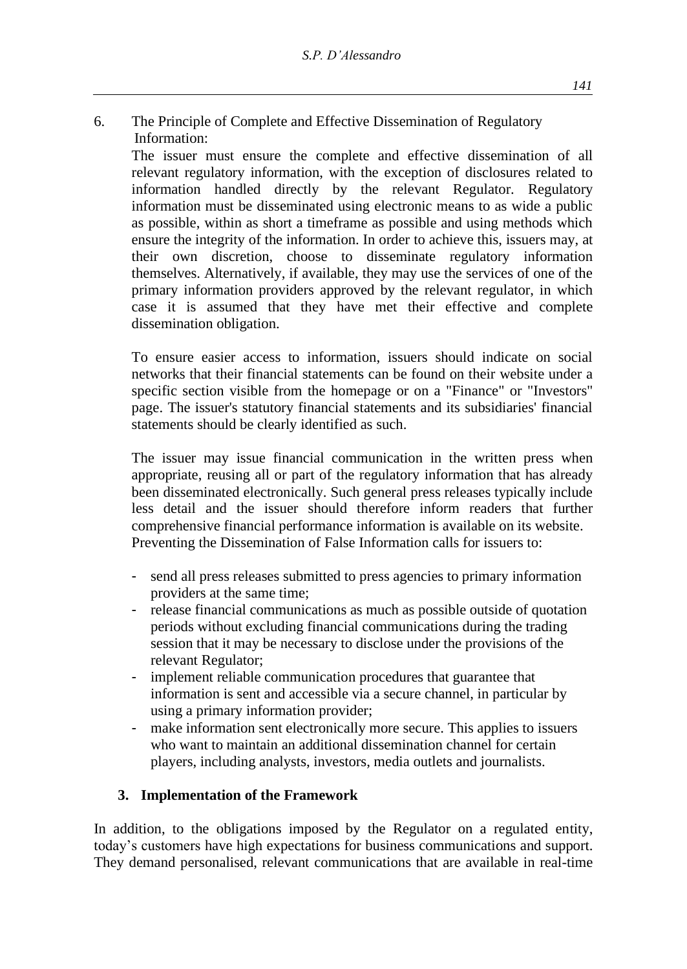6. The Principle of Complete and Effective Dissemination of Regulatory Information:

The issuer must ensure the complete and effective dissemination of all relevant regulatory information, with the exception of disclosures related to information handled directly by the relevant Regulator. Regulatory information must be disseminated using electronic means to as wide a public as possible, within as short a timeframe as possible and using methods which ensure the integrity of the information. In order to achieve this, issuers may, at their own discretion, choose to disseminate regulatory information themselves. Alternatively, if available, they may use the services of one of the primary information providers approved by the relevant regulator, in which case it is assumed that they have met their effective and complete dissemination obligation.

To ensure easier access to information, issuers should indicate on social networks that their financial statements can be found on their website under a specific section visible from the homepage or on a "Finance" or "Investors" page. The issuer's statutory financial statements and its subsidiaries' financial statements should be clearly identified as such.

The issuer may issue financial communication in the written press when appropriate, reusing all or part of the regulatory information that has already been disseminated electronically. Such general press releases typically include less detail and the issuer should therefore inform readers that further comprehensive financial performance information is available on its website. Preventing the Dissemination of False Information calls for issuers to:

- send all press releases submitted to press agencies to primary information providers at the same time;
- release financial communications as much as possible outside of quotation periods without excluding financial communications during the trading session that it may be necessary to disclose under the provisions of the relevant Regulator;
- implement reliable communication procedures that guarantee that information is sent and accessible via a secure channel, in particular by using a primary information provider;
- make information sent electronically more secure. This applies to issuers who want to maintain an additional dissemination channel for certain players, including analysts, investors, media outlets and journalists.

## **3. Implementation of the Framework**

In addition, to the obligations imposed by the Regulator on a regulated entity, today's customers have high expectations for business communications and support. They demand personalised, relevant communications that are available in real-time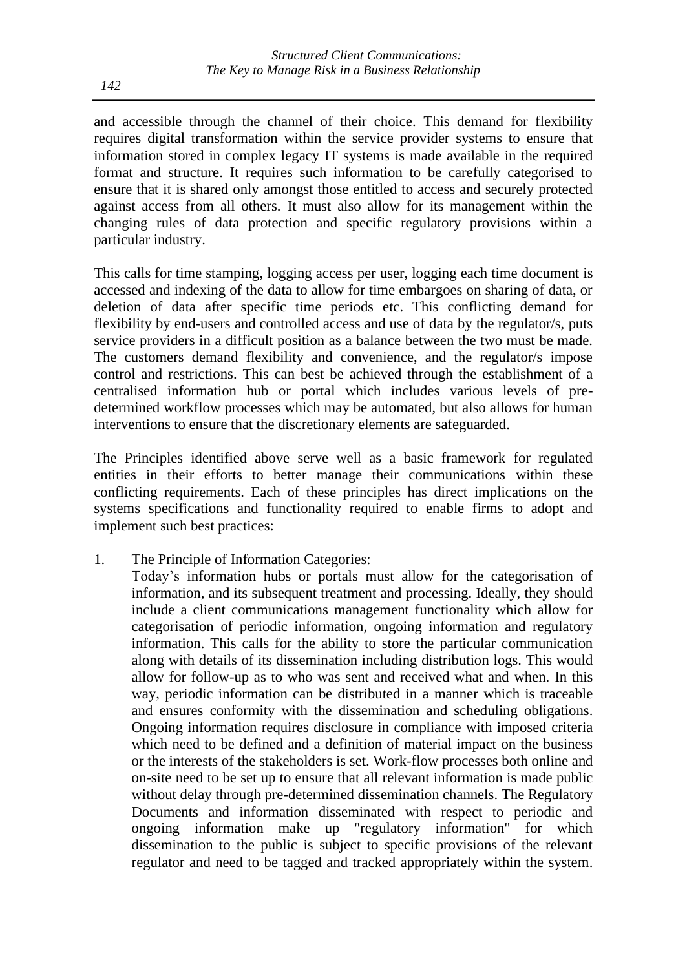and accessible through the channel of their choice. This demand for flexibility requires digital transformation within the service provider systems to ensure that information stored in complex legacy IT systems is made available in the required format and structure. It requires such information to be carefully categorised to ensure that it is shared only amongst those entitled to access and securely protected against access from all others. It must also allow for its management within the changing rules of data protection and specific regulatory provisions within a particular industry.

This calls for time stamping, logging access per user, logging each time document is accessed and indexing of the data to allow for time embargoes on sharing of data, or deletion of data after specific time periods etc. This conflicting demand for flexibility by end-users and controlled access and use of data by the regulator/s, puts service providers in a difficult position as a balance between the two must be made. The customers demand flexibility and convenience, and the regulator/s impose control and restrictions. This can best be achieved through the establishment of a centralised information hub or portal which includes various levels of predetermined workflow processes which may be automated, but also allows for human interventions to ensure that the discretionary elements are safeguarded.

The Principles identified above serve well as a basic framework for regulated entities in their efforts to better manage their communications within these conflicting requirements. Each of these principles has direct implications on the systems specifications and functionality required to enable firms to adopt and implement such best practices:

1. The Principle of Information Categories:

Today's information hubs or portals must allow for the categorisation of information, and its subsequent treatment and processing. Ideally, they should include a client communications management functionality which allow for categorisation of periodic information, ongoing information and regulatory information. This calls for the ability to store the particular communication along with details of its dissemination including distribution logs. This would allow for follow-up as to who was sent and received what and when. In this way, periodic information can be distributed in a manner which is traceable and ensures conformity with the dissemination and scheduling obligations. Ongoing information requires disclosure in compliance with imposed criteria which need to be defined and a definition of material impact on the business or the interests of the stakeholders is set. Work-flow processes both online and on-site need to be set up to ensure that all relevant information is made public without delay through pre-determined dissemination channels. The Regulatory Documents and information disseminated with respect to periodic and ongoing information make up "regulatory information" for which dissemination to the public is subject to specific provisions of the relevant regulator and need to be tagged and tracked appropriately within the system.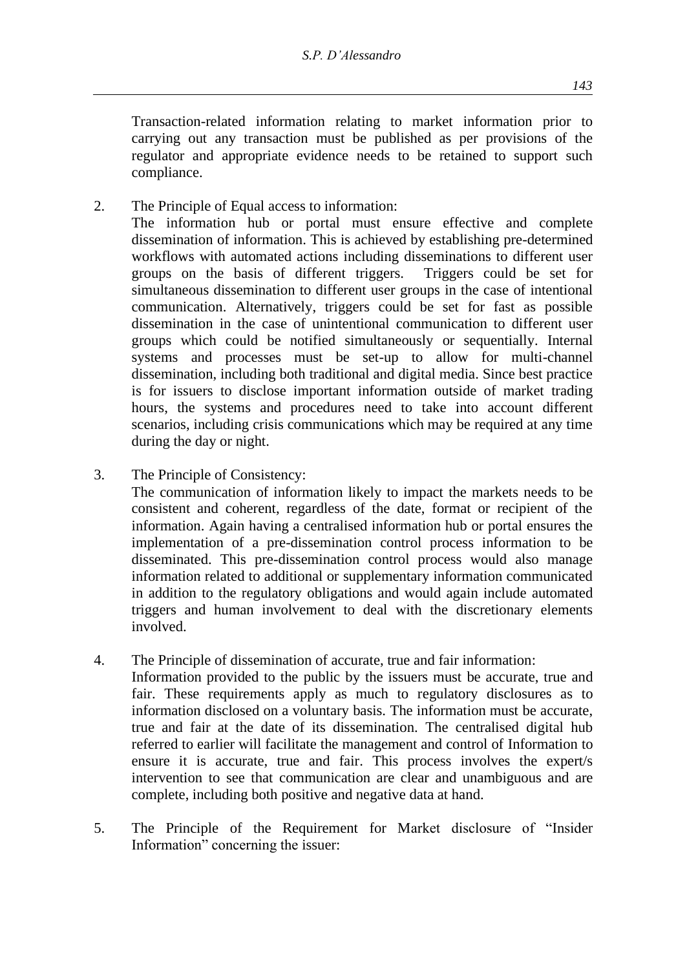Transaction-related information relating to market information prior to carrying out any transaction must be published as per provisions of the regulator and appropriate evidence needs to be retained to support such compliance.

2. The Principle of Equal access to information:

The information hub or portal must ensure effective and complete dissemination of information. This is achieved by establishing pre-determined workflows with automated actions including disseminations to different user groups on the basis of different triggers. Triggers could be set for simultaneous dissemination to different user groups in the case of intentional communication. Alternatively, triggers could be set for fast as possible dissemination in the case of unintentional communication to different user groups which could be notified simultaneously or sequentially. Internal systems and processes must be set-up to allow for multi-channel dissemination, including both traditional and digital media. Since best practice is for issuers to disclose important information outside of market trading hours, the systems and procedures need to take into account different scenarios, including crisis communications which may be required at any time during the day or night.

3. The Principle of Consistency:

The communication of information likely to impact the markets needs to be consistent and coherent, regardless of the date, format or recipient of the information. Again having a centralised information hub or portal ensures the implementation of a pre-dissemination control process information to be disseminated. This pre-dissemination control process would also manage information related to additional or supplementary information communicated in addition to the regulatory obligations and would again include automated triggers and human involvement to deal with the discretionary elements involved.

- 4. The Principle of dissemination of accurate, true and fair information: Information provided to the public by the issuers must be accurate, true and fair. These requirements apply as much to regulatory disclosures as to information disclosed on a voluntary basis. The information must be accurate, true and fair at the date of its dissemination. The centralised digital hub referred to earlier will facilitate the management and control of Information to ensure it is accurate, true and fair. This process involves the expert/s intervention to see that communication are clear and unambiguous and are complete, including both positive and negative data at hand.
- 5. The Principle of the Requirement for Market disclosure of "Insider Information" concerning the issuer: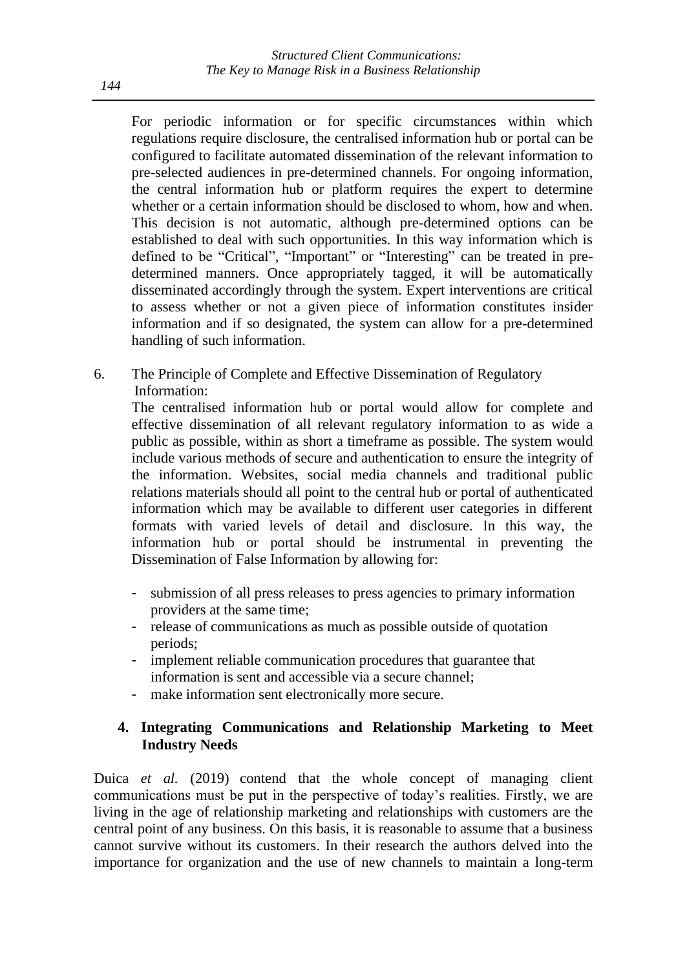For periodic information or for specific circumstances within which regulations require disclosure, the centralised information hub or portal can be configured to facilitate automated dissemination of the relevant information to pre-selected audiences in pre-determined channels. For ongoing information, the central information hub or platform requires the expert to determine whether or a certain information should be disclosed to whom, how and when. This decision is not automatic, although pre-determined options can be established to deal with such opportunities. In this way information which is defined to be "Critical", "Important" or "Interesting" can be treated in predetermined manners. Once appropriately tagged, it will be automatically disseminated accordingly through the system. Expert interventions are critical to assess whether or not a given piece of information constitutes insider information and if so designated, the system can allow for a pre-determined handling of such information.

6. The Principle of Complete and Effective Dissemination of Regulatory Information:

The centralised information hub or portal would allow for complete and effective dissemination of all relevant regulatory information to as wide a public as possible, within as short a timeframe as possible. The system would include various methods of secure and authentication to ensure the integrity of the information. Websites, social media channels and traditional public relations materials should all point to the central hub or portal of authenticated information which may be available to different user categories in different formats with varied levels of detail and disclosure. In this way, the information hub or portal should be instrumental in preventing the Dissemination of False Information by allowing for:

- submission of all press releases to press agencies to primary information providers at the same time;
- release of communications as much as possible outside of quotation periods;
- implement reliable communication procedures that guarantee that information is sent and accessible via a secure channel;
- make information sent electronically more secure.

## **4. Integrating Communications and Relationship Marketing to Meet Industry Needs**

Duica *et al.* (2019) contend that the whole concept of managing client communications must be put in the perspective of today's realities. Firstly, we are living in the age of relationship marketing and relationships with customers are the central point of any business. On this basis, it is reasonable to assume that a business cannot survive without its customers. In their research the authors delved into the importance for organization and the use of new channels to maintain a long-term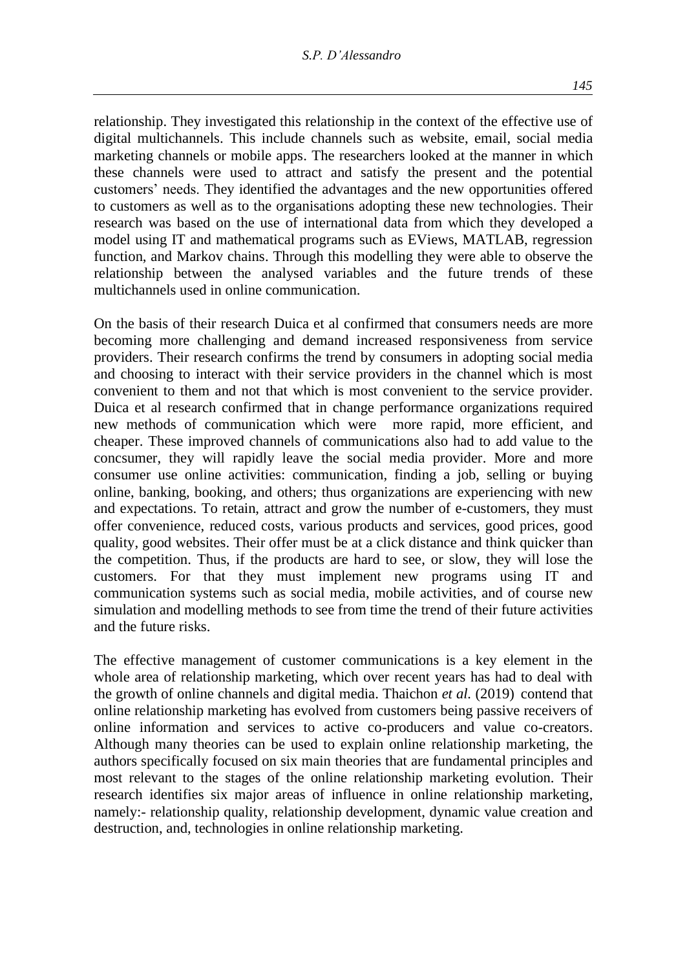relationship. They investigated this relationship in the context of the effective use of digital multichannels. This include channels such as website, email, social media marketing channels or mobile apps. The researchers looked at the manner in which these channels were used to attract and satisfy the present and the potential customers' needs. They identified the advantages and the new opportunities offered to customers as well as to the organisations adopting these new technologies. Their research was based on the use of international data from which they developed a model using IT and mathematical programs such as EViews, MATLAB, regression function, and Markov chains. Through this modelling they were able to observe the relationship between the analysed variables and the future trends of these multichannels used in online communication.

On the basis of their research Duica et al confirmed that consumers needs are more becoming more challenging and demand increased responsiveness from service providers. Their research confirms the trend by consumers in adopting social media and choosing to interact with their service providers in the channel which is most convenient to them and not that which is most convenient to the service provider. Duica et al research confirmed that in change performance organizations required new methods of communication which were more rapid, more efficient, and cheaper. These improved channels of communications also had to add value to the concsumer, they will rapidly leave the social media provider. More and more consumer use online activities: communication, finding a job, selling or buying online, banking, booking, and others; thus organizations are experiencing with new and expectations. To retain, attract and grow the number of e-customers, they must offer convenience, reduced costs, various products and services, good prices, good quality, good websites. Their offer must be at a click distance and think quicker than the competition. Thus, if the products are hard to see, or slow, they will lose the customers. For that they must implement new programs using IT and communication systems such as social media, mobile activities, and of course new simulation and modelling methods to see from time the trend of their future activities and the future risks.

The effective management of customer communications is a key element in the whole area of relationship marketing, which over recent years has had to deal with the growth of online channels and digital media. Thaichon *et al.* (2019) contend that online relationship marketing has evolved from customers being passive receivers of online information and services to active co-producers and value co-creators. Although many theories can be used to explain online relationship marketing, the authors specifically focused on six main theories that are fundamental principles and most relevant to the stages of the online relationship marketing evolution. Their research identifies six major areas of influence in online relationship marketing, namely:- relationship quality, relationship development, dynamic value creation and destruction, and, technologies in online relationship marketing.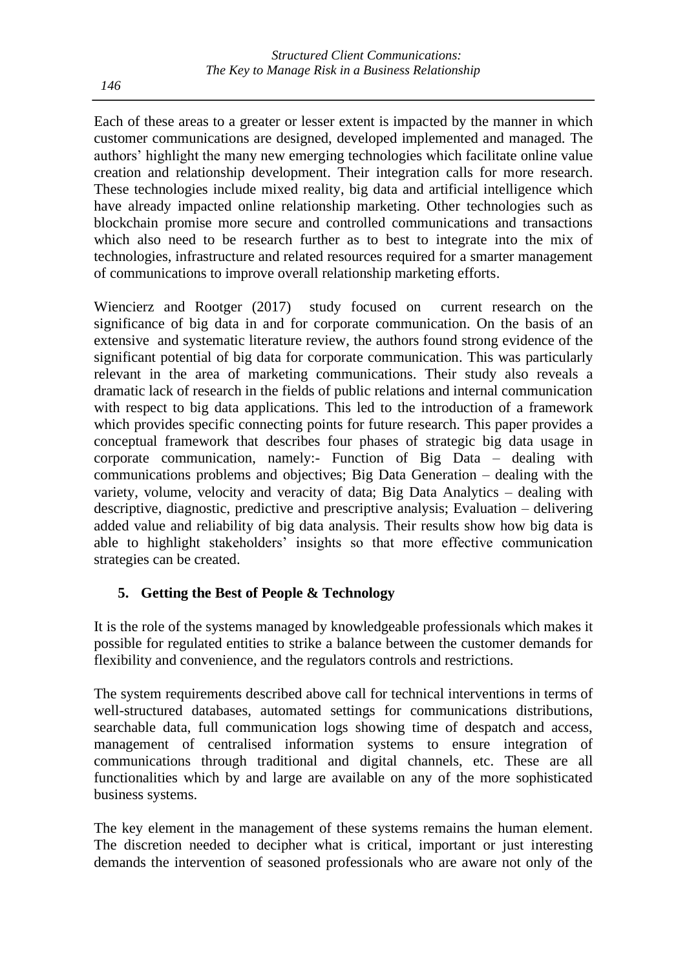Each of these areas to a greater or lesser extent is impacted by the manner in which customer communications are designed, developed implemented and managed. The authors' highlight the many new emerging technologies which facilitate online value creation and relationship development. Their integration calls for more research. These technologies include mixed reality, big data and artificial intelligence which have already impacted online relationship marketing. Other technologies such as blockchain promise more secure and controlled communications and transactions which also need to be research further as to best to integrate into the mix of technologies, infrastructure and related resources required for a smarter management of communications to improve overall relationship marketing efforts.

Wiencierz and Rootger (2017) study focused on current research on the significance of big data in and for corporate communication. On the basis of an extensive and systematic literature review, the authors found strong evidence of the significant potential of big data for corporate communication. This was particularly relevant in the area of marketing communications. Their study also reveals a dramatic lack of research in the fields of public relations and internal communication with respect to big data applications. This led to the introduction of a framework which provides specific connecting points for future research. This paper provides a conceptual framework that describes four phases of strategic big data usage in corporate communication, namely:- Function of Big Data – dealing with communications problems and objectives; Big Data Generation – dealing with the variety, volume, velocity and veracity of data; Big Data Analytics – dealing with descriptive, diagnostic, predictive and prescriptive analysis; Evaluation – delivering added value and reliability of big data analysis. Their results show how big data is able to highlight stakeholders' insights so that more effective communication strategies can be created.

#### **5. Getting the Best of People & Technology**

It is the role of the systems managed by knowledgeable professionals which makes it possible for regulated entities to strike a balance between the customer demands for flexibility and convenience, and the regulators controls and restrictions.

The system requirements described above call for technical interventions in terms of well-structured databases, automated settings for communications distributions, searchable data, full communication logs showing time of despatch and access, management of centralised information systems to ensure integration of communications through traditional and digital channels, etc. These are all functionalities which by and large are available on any of the more sophisticated business systems.

The key element in the management of these systems remains the human element. The discretion needed to decipher what is critical, important or just interesting demands the intervention of seasoned professionals who are aware not only of the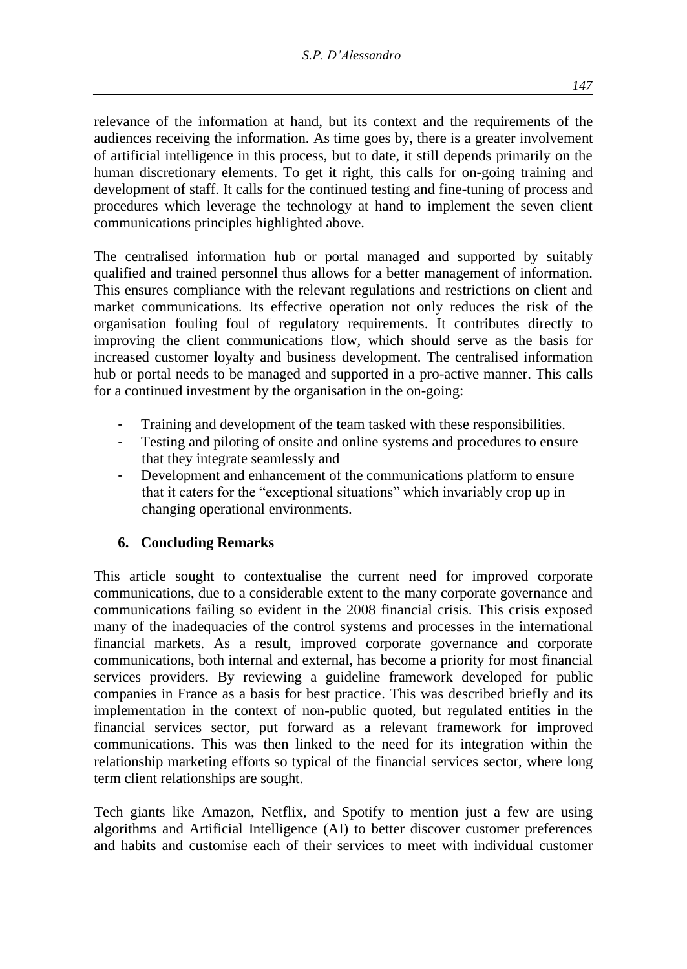relevance of the information at hand, but its context and the requirements of the audiences receiving the information. As time goes by, there is a greater involvement of artificial intelligence in this process, but to date, it still depends primarily on the human discretionary elements. To get it right, this calls for on-going training and development of staff. It calls for the continued testing and fine-tuning of process and procedures which leverage the technology at hand to implement the seven client communications principles highlighted above.

The centralised information hub or portal managed and supported by suitably qualified and trained personnel thus allows for a better management of information. This ensures compliance with the relevant regulations and restrictions on client and market communications. Its effective operation not only reduces the risk of the organisation fouling foul of regulatory requirements. It contributes directly to improving the client communications flow, which should serve as the basis for increased customer loyalty and business development. The centralised information hub or portal needs to be managed and supported in a pro-active manner. This calls for a continued investment by the organisation in the on-going:

- Training and development of the team tasked with these responsibilities.
- Testing and piloting of onsite and online systems and procedures to ensure that they integrate seamlessly and
- Development and enhancement of the communications platform to ensure that it caters for the "exceptional situations" which invariably crop up in changing operational environments.

## **6. Concluding Remarks**

This article sought to contextualise the current need for improved corporate communications, due to a considerable extent to the many corporate governance and communications failing so evident in the 2008 financial crisis. This crisis exposed many of the inadequacies of the control systems and processes in the international financial markets. As a result, improved corporate governance and corporate communications, both internal and external, has become a priority for most financial services providers. By reviewing a guideline framework developed for public companies in France as a basis for best practice. This was described briefly and its implementation in the context of non-public quoted, but regulated entities in the financial services sector, put forward as a relevant framework for improved communications. This was then linked to the need for its integration within the relationship marketing efforts so typical of the financial services sector, where long term client relationships are sought.

Tech giants like Amazon, Netflix, and Spotify to mention just a few are using algorithms and Artificial Intelligence (AI) to better discover customer preferences and habits and customise each of their services to meet with individual customer